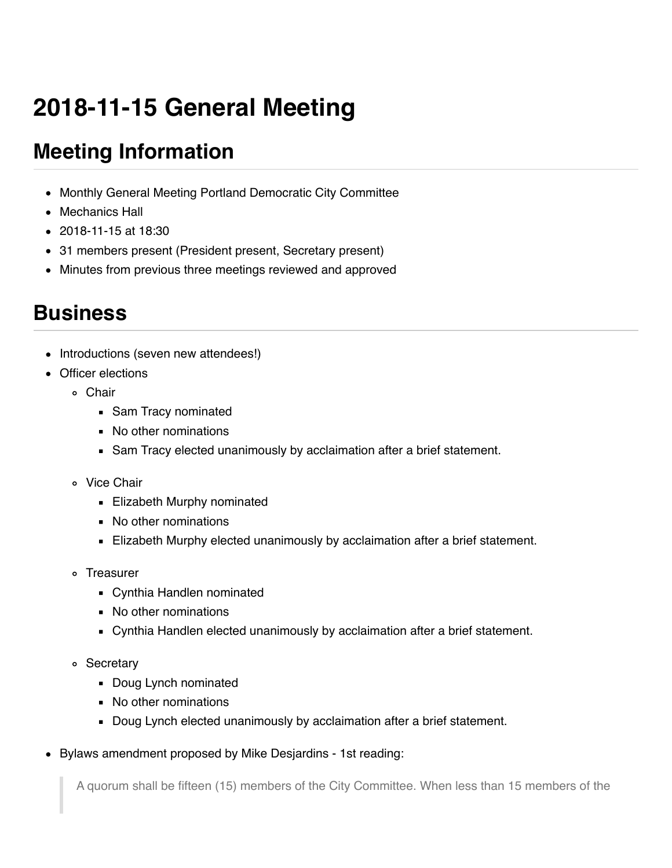# **2018-11-15 General Meeting**

# **Meeting Information**

- Monthly General Meeting Portland Democratic City Committee
- Mechanics Hall
- $\bullet$  2018-11-15 at 18:30
- 31 members present (President present, Secretary present)
- Minutes from previous three meetings reviewed and approved

### **Business**

- Introductions (seven new attendees!)
- Officer elections
	- Chair
		- **Sam Tracy nominated**
		- No other nominations
		- Sam Tracy elected unanimously by acclaimation after a brief statement.
	- Vice Chair
		- **Elizabeth Murphy nominated**
		- No other nominations
		- Elizabeth Murphy elected unanimously by acclaimation after a brief statement.
	- Treasurer
		- Cynthia Handlen nominated
		- No other nominations
		- Cynthia Handlen elected unanimously by acclaimation after a brief statement.
	- Secretary
		- **Doug Lynch nominated**
		- No other nominations
		- Doug Lynch elected unanimously by acclaimation after a brief statement.
- Bylaws amendment proposed by Mike Desjardins 1st reading:

A quorum shall be fifteen (15) members of the City Committee. When less than 15 members of the